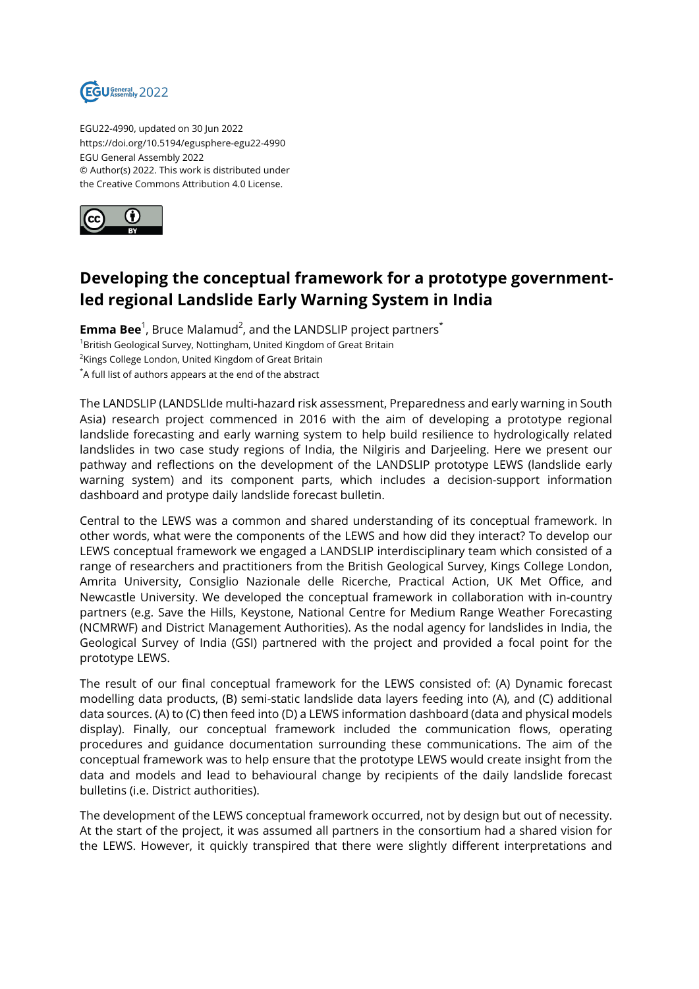

EGU22-4990, updated on 30 Jun 2022 https://doi.org/10.5194/egusphere-egu22-4990 EGU General Assembly 2022 © Author(s) 2022. This work is distributed under the Creative Commons Attribution 4.0 License.



## **Developing the conceptual framework for a prototype governmentled regional Landslide Early Warning System in India**

 ${\sf Emma\,Bee}^1$ , Bruce Malamud<sup>2</sup>, and the LANDSLIP project partners $^*$ <sup>1</sup>British Geological Survey, Nottingham, United Kingdom of Great Britain  $^{2}$ Kings College London, United Kingdom of Great Britain \*A full list of authors appears at the end of the abstract

The LANDSLIP (LANDSLIde multi-hazard risk assessment, Preparedness and early warning in South Asia) research project commenced in 2016 with the aim of developing a prototype regional landslide forecasting and early warning system to help build resilience to hydrologically related landslides in two case study regions of India, the Nilgiris and Darjeeling. Here we present our pathway and reflections on the development of the LANDSLIP prototype LEWS (landslide early warning system) and its component parts, which includes a decision-support information dashboard and protype daily landslide forecast bulletin.

Central to the LEWS was a common and shared understanding of its conceptual framework. In other words, what were the components of the LEWS and how did they interact? To develop our LEWS conceptual framework we engaged a LANDSLIP interdisciplinary team which consisted of a range of researchers and practitioners from the British Geological Survey, Kings College London, Amrita University, Consiglio Nazionale delle Ricerche, Practical Action, UK Met Office, and Newcastle University. We developed the conceptual framework in collaboration with in-country partners (e.g. Save the Hills, Keystone, National Centre for Medium Range Weather Forecasting (NCMRWF) and District Management Authorities). As the nodal agency for landslides in India, the Geological Survey of India (GSI) partnered with the project and provided a focal point for the prototype LEWS.

The result of our final conceptual framework for the LEWS consisted of: (A) Dynamic forecast modelling data products, (B) semi-static landslide data layers feeding into (A), and (C) additional data sources. (A) to (C) then feed into (D) a LEWS information dashboard (data and physical models display). Finally, our conceptual framework included the communication flows, operating procedures and guidance documentation surrounding these communications. The aim of the conceptual framework was to help ensure that the prototype LEWS would create insight from the data and models and lead to behavioural change by recipients of the daily landslide forecast bulletins (i.e. District authorities).

The development of the LEWS conceptual framework occurred, not by design but out of necessity. At the start of the project, it was assumed all partners in the consortium had a shared vision for the LEWS. However, it quickly transpired that there were slightly different interpretations and